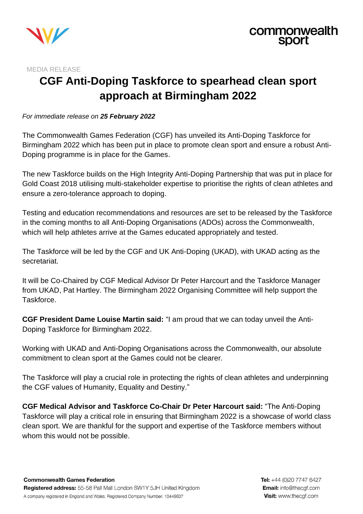

MEDIA RELEASE

# **CGF Anti-Doping Taskforce to spearhead clean sport approach at Birmingham 2022**

#### *For immediate release on 25 February 2022*

The Commonwealth Games Federation (CGF) has unveiled its Anti-Doping Taskforce for Birmingham 2022 which has been put in place to promote clean sport and ensure a robust Anti-Doping programme is in place for the Games.

The new Taskforce builds on the High Integrity Anti-Doping Partnership that was put in place for Gold Coast 2018 utilising multi-stakeholder expertise to prioritise the rights of clean athletes and ensure a zero-tolerance approach to doping.

Testing and education recommendations and resources are set to be released by the Taskforce in the coming months to all Anti-Doping Organisations (ADOs) across the Commonwealth, which will help athletes arrive at the Games educated appropriately and tested.

The Taskforce will be led by the CGF and UK Anti-Doping (UKAD), with UKAD acting as the secretariat.

It will be Co-Chaired by CGF Medical Advisor Dr Peter Harcourt and the Taskforce Manager from UKAD, Pat Hartley. The Birmingham 2022 Organising Committee will help support the Taskforce.

**CGF President Dame Louise Martin said:** "I am proud that we can today unveil the Anti-Doping Taskforce for Birmingham 2022.

Working with UKAD and Anti-Doping Organisations across the Commonwealth, our absolute commitment to clean sport at the Games could not be clearer.

The Taskforce will play a crucial role in protecting the rights of clean athletes and underpinning the CGF values of Humanity, Equality and Destiny."

**CGF Medical Advisor and Taskforce Co-Chair Dr Peter Harcourt said:** "The Anti-Doping Taskforce will play a critical role in ensuring that Birmingham 2022 is a showcase of world class clean sport. We are thankful for the support and expertise of the Taskforce members without whom this would not be possible.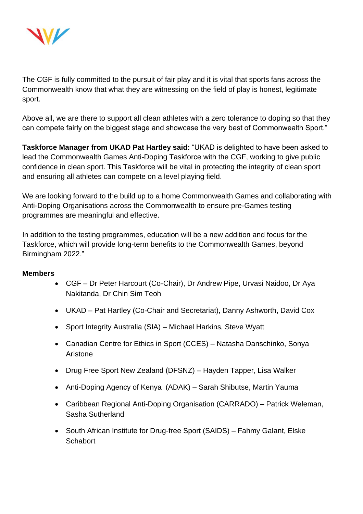

The CGF is fully committed to the pursuit of fair play and it is vital that sports fans across the Commonwealth know that what they are witnessing on the field of play is honest, legitimate sport.

Above all, we are there to support all clean athletes with a zero tolerance to doping so that they can compete fairly on the biggest stage and showcase the very best of Commonwealth Sport."

**Taskforce Manager from UKAD Pat Hartley said:** "UKAD is delighted to have been asked to lead the Commonwealth Games Anti-Doping Taskforce with the CGF, working to give public confidence in clean sport. This Taskforce will be vital in protecting the integrity of clean sport and ensuring all athletes can compete on a level playing field.

We are looking forward to the build up to a home Commonwealth Games and collaborating with Anti-Doping Organisations across the Commonwealth to ensure pre-Games testing programmes are meaningful and effective.

In addition to the testing programmes, education will be a new addition and focus for the Taskforce, which will provide long-term benefits to the Commonwealth Games, beyond Birmingham 2022."

#### **Members**

- CGF Dr Peter Harcourt (Co-Chair), Dr Andrew Pipe, Urvasi Naidoo, Dr Aya Nakitanda, Dr Chin Sim Teoh
- UKAD Pat Hartley (Co-Chair and Secretariat), Danny Ashworth, David Cox
- Sport Integrity Australia (SIA) Michael Harkins, Steve Wyatt
- Canadian Centre for Ethics in Sport (CCES) Natasha Danschinko, Sonya Aristone
- Drug Free Sport New Zealand (DFSNZ) Hayden Tapper, Lisa Walker
- Anti-Doping Agency of Kenya (ADAK) Sarah Shibutse, Martin Yauma
- Caribbean Regional Anti-Doping Organisation (CARRADO) Patrick Weleman, Sasha Sutherland
- South African Institute for Drug-free Sport (SAIDS) Fahmy Galant, Elske **Schabort**